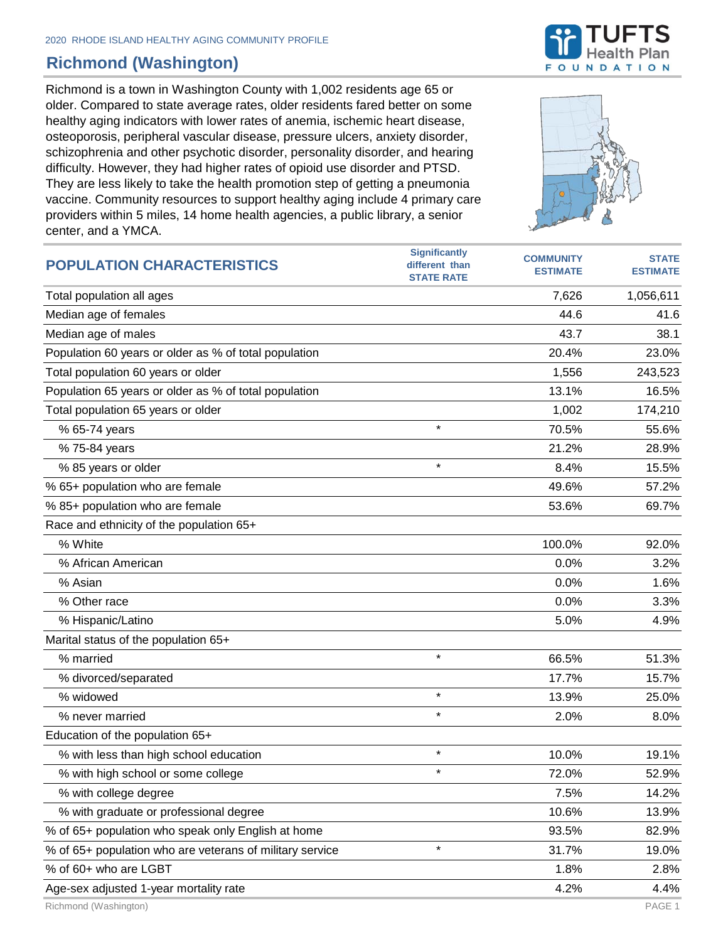## **Richmond (Washington)**

Richmond is a town in Washington County with 1,002 residents age 65 or older. Compared to state average rates, older residents fared better on some healthy aging indicators with lower rates of anemia, ischemic heart disease, osteoporosis, peripheral vascular disease, pressure ulcers, anxiety disorder, schizophrenia and other psychotic disorder, personality disorder, and hearing difficulty. However, they had higher rates of opioid use disorder and PTSD. They are less likely to take the health promotion step of getting a pneumonia vaccine. Community resources to support healthy aging include 4 primary care providers within 5 miles, 14 home health agencies, a public library, a senior center, and a YMCA.





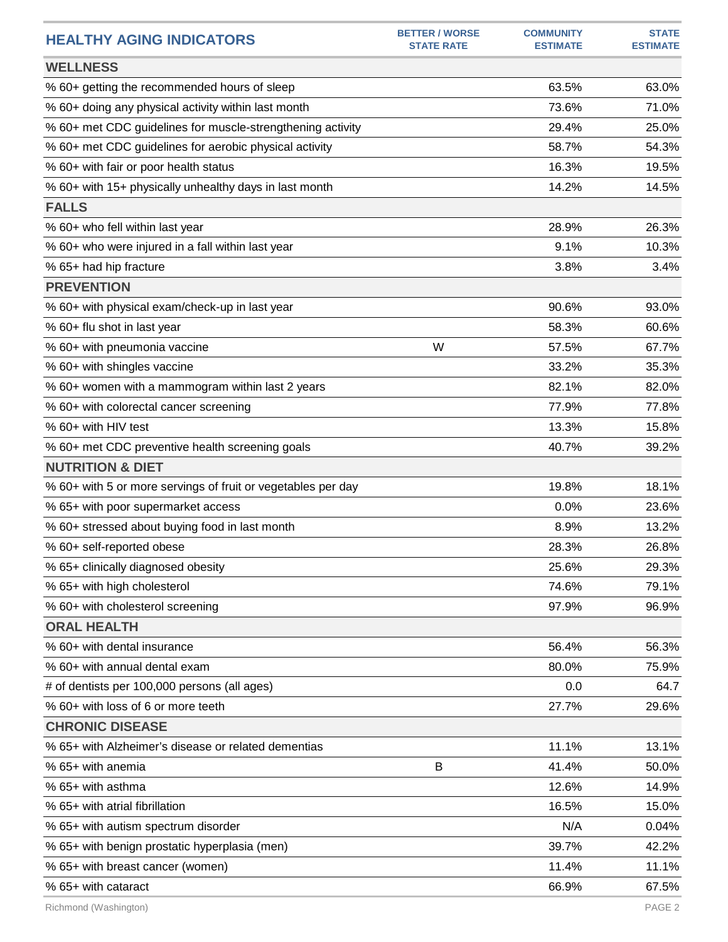| <b>HEALTHY AGING INDICATORS</b>                              | <b>BETTER / WORSE</b><br><b>STATE RATE</b> | <b>COMMUNITY</b><br><b>ESTIMATE</b> | <b>STATE</b><br><b>ESTIMATE</b> |
|--------------------------------------------------------------|--------------------------------------------|-------------------------------------|---------------------------------|
| <b>WELLNESS</b>                                              |                                            |                                     |                                 |
| % 60+ getting the recommended hours of sleep                 |                                            | 63.5%                               | 63.0%                           |
| % 60+ doing any physical activity within last month          |                                            | 73.6%                               | 71.0%                           |
| % 60+ met CDC guidelines for muscle-strengthening activity   |                                            | 29.4%                               | 25.0%                           |
| % 60+ met CDC guidelines for aerobic physical activity       |                                            | 58.7%                               | 54.3%                           |
| % 60+ with fair or poor health status                        |                                            | 16.3%                               | 19.5%                           |
| % 60+ with 15+ physically unhealthy days in last month       |                                            | 14.2%                               | 14.5%                           |
| <b>FALLS</b>                                                 |                                            |                                     |                                 |
| % 60+ who fell within last year                              |                                            | 28.9%                               | 26.3%                           |
| % 60+ who were injured in a fall within last year            |                                            | 9.1%                                | 10.3%                           |
| % 65+ had hip fracture                                       |                                            | 3.8%                                | 3.4%                            |
| <b>PREVENTION</b>                                            |                                            |                                     |                                 |
| % 60+ with physical exam/check-up in last year               |                                            | 90.6%                               | 93.0%                           |
| % 60+ flu shot in last year                                  |                                            | 58.3%                               | 60.6%                           |
| % 60+ with pneumonia vaccine                                 | W                                          | 57.5%                               | 67.7%                           |
| % 60+ with shingles vaccine                                  |                                            | 33.2%                               | 35.3%                           |
| % 60+ women with a mammogram within last 2 years             |                                            | 82.1%                               | 82.0%                           |
| % 60+ with colorectal cancer screening                       |                                            | 77.9%                               | 77.8%                           |
| % 60+ with HIV test                                          |                                            | 13.3%                               | 15.8%                           |
| % 60+ met CDC preventive health screening goals              |                                            | 40.7%                               | 39.2%                           |
| <b>NUTRITION &amp; DIET</b>                                  |                                            |                                     |                                 |
| % 60+ with 5 or more servings of fruit or vegetables per day |                                            | 19.8%                               | 18.1%                           |
| % 65+ with poor supermarket access                           |                                            | 0.0%                                | 23.6%                           |
| % 60+ stressed about buying food in last month               |                                            | 8.9%                                | 13.2%                           |
| % 60+ self-reported obese                                    |                                            | 28.3%                               | 26.8%                           |
| % 65+ clinically diagnosed obesity                           |                                            | 25.6%                               | 29.3%                           |
| % 65+ with high cholesterol                                  |                                            | 74.6%                               | 79.1%                           |
| % 60+ with cholesterol screening                             |                                            | 97.9%                               | 96.9%                           |
| <b>ORAL HEALTH</b>                                           |                                            |                                     |                                 |
| % 60+ with dental insurance                                  |                                            | 56.4%                               | 56.3%                           |
| % 60+ with annual dental exam                                |                                            | 80.0%                               | 75.9%                           |
| # of dentists per 100,000 persons (all ages)                 |                                            | 0.0                                 | 64.7                            |
| % 60+ with loss of 6 or more teeth                           |                                            | 27.7%                               | 29.6%                           |
| <b>CHRONIC DISEASE</b>                                       |                                            |                                     |                                 |
| % 65+ with Alzheimer's disease or related dementias          |                                            | 11.1%                               | 13.1%                           |
| % 65+ with anemia                                            | B                                          | 41.4%                               | 50.0%                           |
| % 65+ with asthma                                            |                                            | 12.6%                               | 14.9%                           |
| % 65+ with atrial fibrillation                               |                                            | 16.5%                               | 15.0%                           |
| % 65+ with autism spectrum disorder                          |                                            | N/A                                 | 0.04%                           |
| % 65+ with benign prostatic hyperplasia (men)                |                                            | 39.7%                               | 42.2%                           |
| % 65+ with breast cancer (women)                             |                                            | 11.4%                               | 11.1%                           |
| % 65+ with cataract                                          |                                            | 66.9%                               | 67.5%                           |
|                                                              |                                            |                                     |                                 |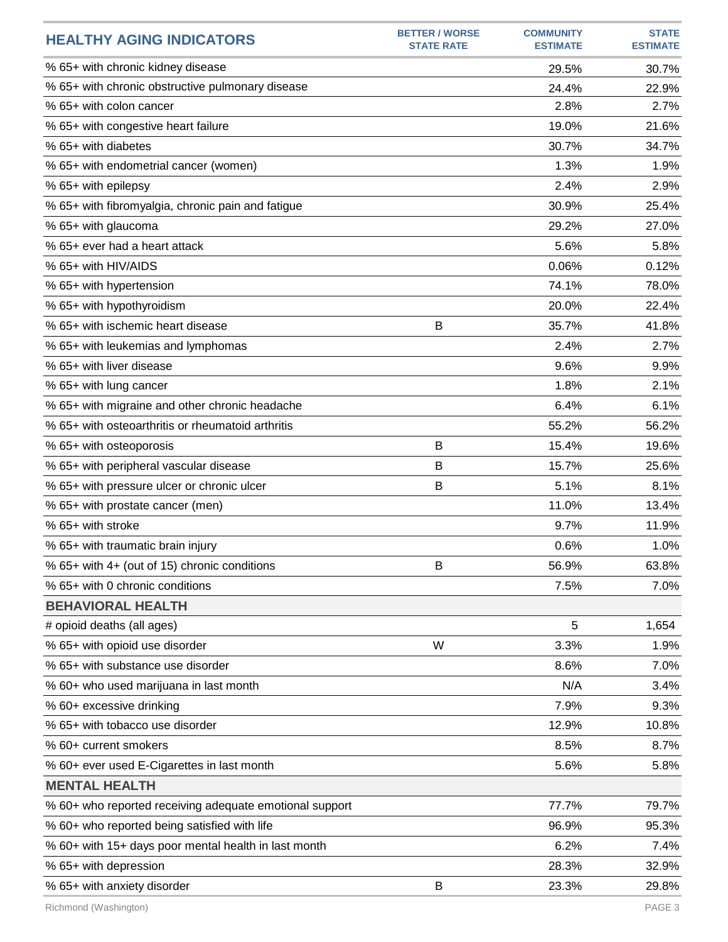| <b>HEALTHY AGING INDICATORS</b>                         | <b>BETTER / WORSE</b><br><b>STATE RATE</b> | <b>COMMUNITY</b><br><b>ESTIMATE</b> | <b>STATE</b><br><b>ESTIMATE</b> |
|---------------------------------------------------------|--------------------------------------------|-------------------------------------|---------------------------------|
| % 65+ with chronic kidney disease                       |                                            | 29.5%                               | 30.7%                           |
| % 65+ with chronic obstructive pulmonary disease        |                                            | 24.4%                               | 22.9%                           |
| % 65+ with colon cancer                                 |                                            | 2.8%                                | 2.7%                            |
| % 65+ with congestive heart failure                     |                                            | 19.0%                               | 21.6%                           |
| % 65+ with diabetes                                     |                                            | 30.7%                               | 34.7%                           |
| % 65+ with endometrial cancer (women)                   |                                            | 1.3%                                | 1.9%                            |
| % 65+ with epilepsy                                     |                                            | 2.4%                                | 2.9%                            |
| % 65+ with fibromyalgia, chronic pain and fatigue       |                                            | 30.9%                               | 25.4%                           |
| % 65+ with glaucoma                                     |                                            | 29.2%                               | 27.0%                           |
| % 65+ ever had a heart attack                           |                                            | 5.6%                                | 5.8%                            |
| % 65+ with HIV/AIDS                                     |                                            | 0.06%                               | 0.12%                           |
| % 65+ with hypertension                                 |                                            | 74.1%                               | 78.0%                           |
| % 65+ with hypothyroidism                               |                                            | 20.0%                               | 22.4%                           |
| % 65+ with ischemic heart disease                       | В                                          | 35.7%                               | 41.8%                           |
| % 65+ with leukemias and lymphomas                      |                                            | 2.4%                                | 2.7%                            |
| % 65+ with liver disease                                |                                            | 9.6%                                | 9.9%                            |
| % 65+ with lung cancer                                  |                                            | 1.8%                                | 2.1%                            |
| % 65+ with migraine and other chronic headache          |                                            | 6.4%                                | 6.1%                            |
| % 65+ with osteoarthritis or rheumatoid arthritis       |                                            | 55.2%                               | 56.2%                           |
| % 65+ with osteoporosis                                 | B                                          | 15.4%                               | 19.6%                           |
| % 65+ with peripheral vascular disease                  | B                                          | 15.7%                               | 25.6%                           |
| % 65+ with pressure ulcer or chronic ulcer              | B                                          | 5.1%                                | 8.1%                            |
| % 65+ with prostate cancer (men)                        |                                            | 11.0%                               | 13.4%                           |
| % 65+ with stroke                                       |                                            | 9.7%                                | 11.9%                           |
| % 65+ with traumatic brain injury                       |                                            | 0.6%                                | 1.0%                            |
| % 65+ with 4+ (out of 15) chronic conditions            | В                                          | 56.9%                               | 63.8%                           |
| % 65+ with 0 chronic conditions                         |                                            | 7.5%                                | 7.0%                            |
| <b>BEHAVIORAL HEALTH</b>                                |                                            |                                     |                                 |
| # opioid deaths (all ages)                              |                                            | 5                                   | 1,654                           |
| % 65+ with opioid use disorder                          | W                                          | 3.3%                                | 1.9%                            |
| % 65+ with substance use disorder                       |                                            | 8.6%                                | 7.0%                            |
| % 60+ who used marijuana in last month                  |                                            | N/A                                 | 3.4%                            |
| % 60+ excessive drinking                                |                                            | 7.9%                                | 9.3%                            |
| % 65+ with tobacco use disorder                         |                                            | 12.9%                               | 10.8%                           |
| % 60+ current smokers                                   |                                            | 8.5%                                | 8.7%                            |
| % 60+ ever used E-Cigarettes in last month              |                                            | 5.6%                                | 5.8%                            |
| <b>MENTAL HEALTH</b>                                    |                                            |                                     |                                 |
| % 60+ who reported receiving adequate emotional support |                                            | 77.7%                               | 79.7%                           |
| % 60+ who reported being satisfied with life            |                                            | 96.9%                               | 95.3%                           |
| % 60+ with 15+ days poor mental health in last month    |                                            | 6.2%                                | 7.4%                            |
| % 65+ with depression                                   |                                            | 28.3%                               | 32.9%                           |
| % 65+ with anxiety disorder                             | B                                          | 23.3%                               | 29.8%                           |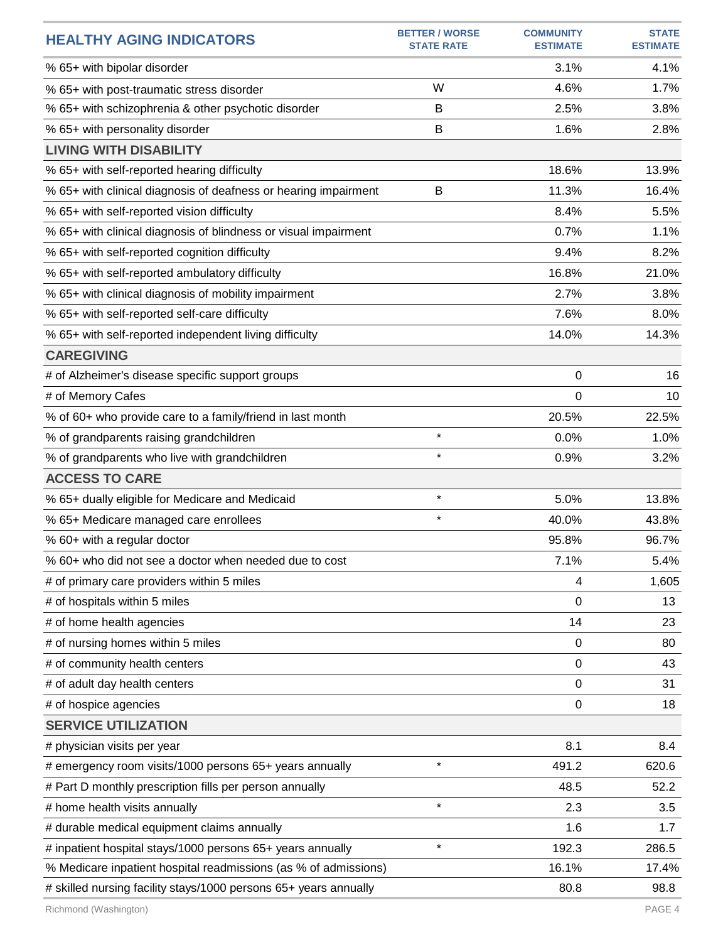| <b>HEALTHY AGING INDICATORS</b>                                  | <b>BETTER / WORSE</b><br><b>STATE RATE</b> | <b>COMMUNITY</b><br><b>ESTIMATE</b> | <b>STATE</b><br><b>ESTIMATE</b> |
|------------------------------------------------------------------|--------------------------------------------|-------------------------------------|---------------------------------|
| % 65+ with bipolar disorder                                      |                                            | 3.1%                                | 4.1%                            |
| % 65+ with post-traumatic stress disorder                        | W                                          | 4.6%                                | 1.7%                            |
| % 65+ with schizophrenia & other psychotic disorder              | B                                          | 2.5%                                | 3.8%                            |
| % 65+ with personality disorder                                  | B                                          | 1.6%                                | 2.8%                            |
| <b>LIVING WITH DISABILITY</b>                                    |                                            |                                     |                                 |
| % 65+ with self-reported hearing difficulty                      |                                            | 18.6%                               | 13.9%                           |
| % 65+ with clinical diagnosis of deafness or hearing impairment  | B                                          | 11.3%                               | 16.4%                           |
| % 65+ with self-reported vision difficulty                       |                                            | 8.4%                                | 5.5%                            |
| % 65+ with clinical diagnosis of blindness or visual impairment  |                                            | 0.7%                                | 1.1%                            |
| % 65+ with self-reported cognition difficulty                    |                                            | 9.4%                                | 8.2%                            |
| % 65+ with self-reported ambulatory difficulty                   |                                            | 16.8%                               | 21.0%                           |
| % 65+ with clinical diagnosis of mobility impairment             |                                            | 2.7%                                | 3.8%                            |
| % 65+ with self-reported self-care difficulty                    |                                            | 7.6%                                | 8.0%                            |
| % 65+ with self-reported independent living difficulty           |                                            | 14.0%                               | 14.3%                           |
| <b>CAREGIVING</b>                                                |                                            |                                     |                                 |
| # of Alzheimer's disease specific support groups                 |                                            | 0                                   | 16                              |
| # of Memory Cafes                                                |                                            | 0                                   | 10                              |
| % of 60+ who provide care to a family/friend in last month       |                                            | 20.5%                               | 22.5%                           |
| % of grandparents raising grandchildren                          | $\star$                                    | 0.0%                                | 1.0%                            |
| % of grandparents who live with grandchildren                    | $\star$                                    | 0.9%                                | 3.2%                            |
| <b>ACCESS TO CARE</b>                                            |                                            |                                     |                                 |
| % 65+ dually eligible for Medicare and Medicaid                  | $\star$                                    | 5.0%                                | 13.8%                           |
| % 65+ Medicare managed care enrollees                            | $\star$                                    | 40.0%                               | 43.8%                           |
| % 60+ with a regular doctor                                      |                                            | 95.8%                               | 96.7%                           |
| % 60+ who did not see a doctor when needed due to cost           |                                            | 7.1%                                | 5.4%                            |
| # of primary care providers within 5 miles                       |                                            | 4                                   | 1,605                           |
| # of hospitals within 5 miles                                    |                                            | 0                                   | 13                              |
| # of home health agencies                                        |                                            | 14                                  | 23                              |
| # of nursing homes within 5 miles                                |                                            | 0                                   | 80                              |
| # of community health centers                                    |                                            | 0                                   | 43                              |
| # of adult day health centers                                    |                                            | 0                                   | 31                              |
| # of hospice agencies                                            |                                            | 0                                   | 18                              |
| <b>SERVICE UTILIZATION</b>                                       |                                            |                                     |                                 |
| # physician visits per year                                      |                                            | 8.1                                 | 8.4                             |
| # emergency room visits/1000 persons 65+ years annually          | $\star$                                    | 491.2                               | 620.6                           |
| # Part D monthly prescription fills per person annually          |                                            | 48.5                                | 52.2                            |
| # home health visits annually                                    | $\star$                                    | 2.3                                 | 3.5                             |
| # durable medical equipment claims annually                      |                                            | 1.6                                 | 1.7                             |
| # inpatient hospital stays/1000 persons 65+ years annually       | $\star$                                    | 192.3                               | 286.5                           |
| % Medicare inpatient hospital readmissions (as % of admissions)  |                                            | 16.1%                               | 17.4%                           |
| # skilled nursing facility stays/1000 persons 65+ years annually |                                            | 80.8                                | 98.8                            |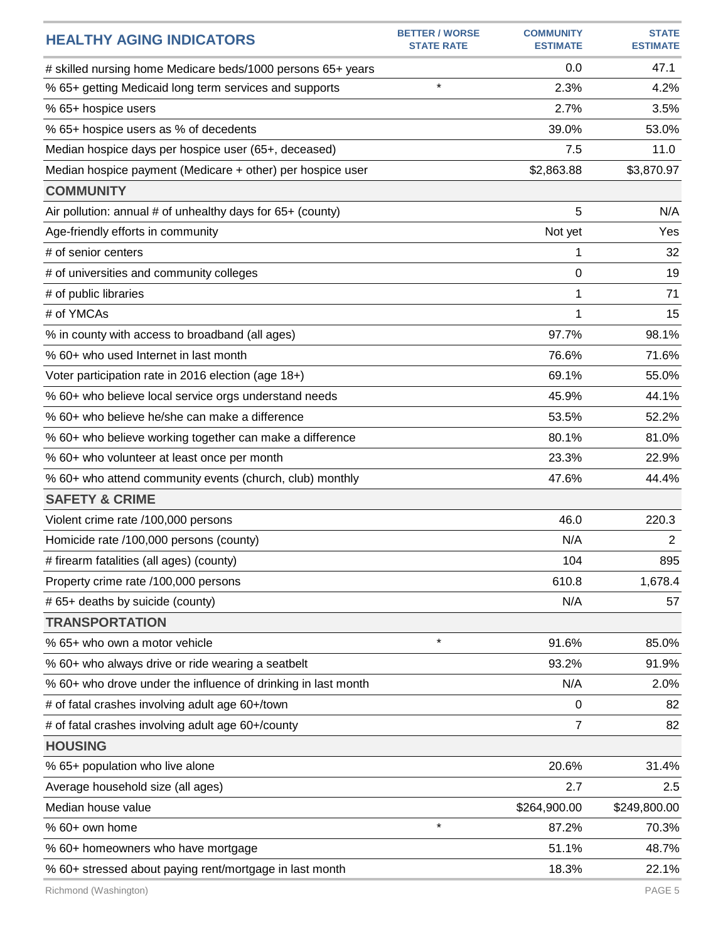| <b>HEALTHY AGING INDICATORS</b>                               | <b>BETTER / WORSE</b><br><b>STATE RATE</b> | <b>COMMUNITY</b><br><b>ESTIMATE</b> | <b>STATE</b><br><b>ESTIMATE</b> |
|---------------------------------------------------------------|--------------------------------------------|-------------------------------------|---------------------------------|
| # skilled nursing home Medicare beds/1000 persons 65+ years   |                                            | 0.0                                 | 47.1                            |
| % 65+ getting Medicaid long term services and supports        | $\star$                                    | 2.3%                                | 4.2%                            |
| % 65+ hospice users                                           |                                            | 2.7%                                | 3.5%                            |
| % 65+ hospice users as % of decedents                         |                                            | 39.0%                               | 53.0%                           |
| Median hospice days per hospice user (65+, deceased)          |                                            | 7.5                                 | 11.0                            |
| Median hospice payment (Medicare + other) per hospice user    |                                            | \$2,863.88                          | \$3,870.97                      |
| <b>COMMUNITY</b>                                              |                                            |                                     |                                 |
| Air pollution: annual # of unhealthy days for 65+ (county)    |                                            | 5                                   | N/A                             |
| Age-friendly efforts in community                             |                                            | Not yet                             | Yes                             |
| # of senior centers                                           |                                            | 1                                   | 32                              |
| # of universities and community colleges                      |                                            | 0                                   | 19                              |
| # of public libraries                                         |                                            | 1                                   | 71                              |
| # of YMCAs                                                    |                                            | 1                                   | 15                              |
| % in county with access to broadband (all ages)               |                                            | 97.7%                               | 98.1%                           |
| % 60+ who used Internet in last month                         |                                            | 76.6%                               | 71.6%                           |
| Voter participation rate in 2016 election (age 18+)           |                                            | 69.1%                               | 55.0%                           |
| % 60+ who believe local service orgs understand needs         |                                            | 45.9%                               | 44.1%                           |
| % 60+ who believe he/she can make a difference                |                                            | 53.5%                               | 52.2%                           |
| % 60+ who believe working together can make a difference      |                                            | 80.1%                               | 81.0%                           |
| % 60+ who volunteer at least once per month                   |                                            | 23.3%                               | 22.9%                           |
| % 60+ who attend community events (church, club) monthly      |                                            | 47.6%                               | 44.4%                           |
| <b>SAFETY &amp; CRIME</b>                                     |                                            |                                     |                                 |
| Violent crime rate /100,000 persons                           |                                            | 46.0                                | 220.3                           |
| Homicide rate /100,000 persons (county)                       |                                            | N/A                                 | $\overline{2}$                  |
| # firearm fatalities (all ages) (county)                      |                                            | 104                                 | 895                             |
| Property crime rate /100,000 persons                          |                                            | 610.8                               | 1,678.4                         |
| # 65+ deaths by suicide (county)                              |                                            | N/A                                 | 57                              |
| <b>TRANSPORTATION</b>                                         |                                            |                                     |                                 |
| % 65+ who own a motor vehicle                                 | $\star$                                    | 91.6%                               | 85.0%                           |
| % 60+ who always drive or ride wearing a seatbelt             |                                            | 93.2%                               | 91.9%                           |
| % 60+ who drove under the influence of drinking in last month |                                            | N/A                                 | 2.0%                            |
| # of fatal crashes involving adult age 60+/town               |                                            | 0                                   | 82                              |
| # of fatal crashes involving adult age 60+/county             |                                            | 7                                   | 82                              |
| <b>HOUSING</b>                                                |                                            |                                     |                                 |
| % 65+ population who live alone                               |                                            | 20.6%                               | 31.4%                           |
| Average household size (all ages)                             |                                            | 2.7                                 | 2.5                             |
| Median house value                                            |                                            | \$264,900.00                        | \$249,800.00                    |
| % 60+ own home                                                | $\star$                                    | 87.2%                               | 70.3%                           |
| % 60+ homeowners who have mortgage                            |                                            | 51.1%                               | 48.7%                           |
| % 60+ stressed about paying rent/mortgage in last month       |                                            | 18.3%                               | 22.1%                           |